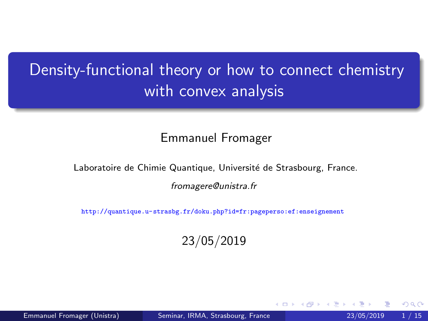# <span id="page-0-0"></span>Density-functional theory or how to connect chemistry with convex analysis

#### Emmanuel Fromager

Laboratoire de Chimie Quantique, Université de Strasbourg, France.

fromagere@unistra.fr

<http://quantique.u-strasbg.fr/doku.php?id=fr:pageperso:ef:enseignement>

23/05/2019

Emmanuel Fromager (Unistra) [Seminar, IRMA, Strasbourg, France](#page-14-0) 23/05/2019 1 / 15

 $\Omega$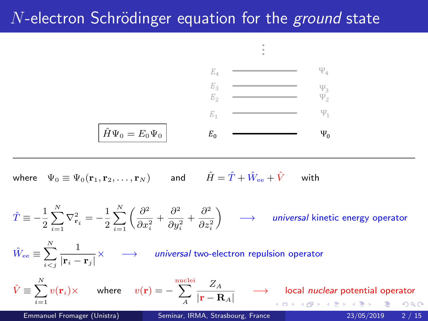### <span id="page-1-0"></span> $N$ -electron Schrödinger equation for the ground state



...

...

where  $\Psi_0 \equiv \Psi_0({\bf r}_1,{\bf r}_2,\ldots,{\bf r}_N)$  and  $\hat{H} = \hat{T} + \hat{W}_{\rm ee} + \hat{V}$  with  $2 \cdot \frac{1}{2}$  ) for  $\frac{1}{2}$ ,  $\frac{1}{2}$ ,  $\frac{1}{2}$ ,  $\frac{1}{2}$ ,  $\frac{1}{2}$ ,  $\frac{1}{2}$ ,  $\frac{1}{2}$ ,  $\frac{1}{2}$ ,  $\frac{1}{2}$ ,  $\frac{1}{2}$ ,  $\frac{1}{2}$ ,  $\frac{1}{2}$ ,  $\frac{1}{2}$ ,  $\frac{1}{2}$ ,  $\frac{1}{2}$ ,  $\frac{1}{2}$ ,  $\frac{1}{2}$ ,  $\frac{1}{2}$ ,  $\frac{$ 

$$
\hat{T} \equiv -\frac{1}{2} \sum_{i=1}^{N} \nabla_{\mathbf{r}_i}^2 = -\frac{1}{2} \sum_{i=1}^{N} \left( \frac{\partial^2}{\partial x_i^2} + \frac{\partial^2}{\partial y_i^2} + \frac{\partial^2}{\partial z_i^2} \right) \longrightarrow \text{ universal kinetic energy operator}
$$
\n
$$
\hat{W}_{\text{ee}} \equiv \sum_{i=1}^{N} \frac{1}{|\mathbf{r}_i - \mathbf{r}_j|} \times \longrightarrow \text{ universal two-electron repulsion operator}
$$
\n
$$
\hat{V} \equiv \sum_{i=1}^{N} v(\mathbf{r}_i) \times \text{ where } v(\mathbf{r}) = -\sum_{A}^{\text{nuclei}} \frac{Z_A}{|\mathbf{r} - \mathbf{R}_A|} \longrightarrow \text{local nuclear potential operator}
$$
\nEmmanuel Fromager (Unistra)

\nSeminar, IRMA, Strasbourg, France

\n
$$
\begin{array}{ccc}\n23/05/2019 & 2/15\n\end{array}
$$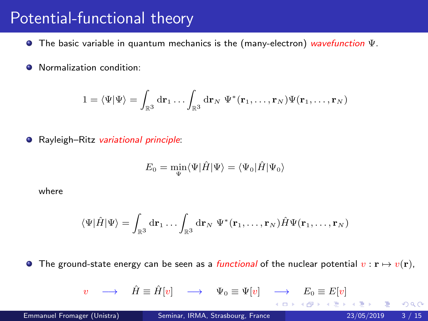#### Potential-functional theory

- **The basic variable in quantum mechanics is the (many-electron) wavefunction**  $\Psi$ **.**
- **O** Normalization condition:

$$
1=\langle\Psi\vert\Psi\rangle=\int_{\mathbb{R}^3}\mathrm{d}\mathbf{r}_1\dots\int_{\mathbb{R}^3}\mathrm{d}\mathbf{r}_N\;\Psi^*(\mathbf{r}_1,\dots,\mathbf{r}_N)\Psi(\mathbf{r}_1,\dots,\mathbf{r}_N)
$$

● Rayleigh–Ritz variational principle:

$$
E_0 = \min_{\Psi} \langle \Psi | \hat{H} | \Psi \rangle = \langle \Psi_0 | \hat{H} | \Psi_0 \rangle
$$

where

$$
\langle\Psi|\hat{H}|\Psi\rangle=\int_{\mathbb{R}^3}\mathrm{d}\mathbf{r}_1\ldots\int_{\mathbb{R}^3}\mathrm{d}\mathbf{r}_N\;\Psi^*(\mathbf{r}_1,\ldots,\mathbf{r}_N)\hat{H}\Psi(\mathbf{r}_1,\ldots,\mathbf{r}_N)
$$

**The ground-state energy can be seen as a functional of the nuclear potential**  $v : \mathbf{r} \mapsto v(\mathbf{r}),$ 

$$
v \quad \longrightarrow \quad \hat{H} \equiv \hat{H}[v] \quad \longrightarrow \quad \Psi_0 \equiv \Psi[v] \quad \longrightarrow \quad E_0 \equiv E[v]
$$

∢ □ ▶ .⊀ 何 ▶ .∢ ∃ ▶ .∢

 $QQ$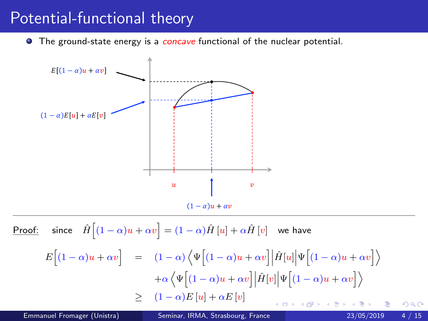#### <span id="page-3-0"></span>Potential-functional theory

**•** The ground-state energy is a *concave* functional of the nuclear potential.



 $\frac{\text{Proof:}}{\text{.}}$  since  $\hat{H}\Big[(1-\alpha)u+\alpha v\Big]=(1-\alpha)\hat{H}\left[u\right]+\alpha\hat{H}\left[v\right]$  we have  $E\Big[(1-\alpha)u + \alpha v\Big] = (1-\alpha)\Big\langle\Psi\Big[(1-\alpha)u + \alpha v\Big]\Big|\hat{H}[u]\Big|\Psi\Big[(1-\alpha)u + \alpha v\Big]\Big\rangle$  $+\alpha\left\langle \Psi\Big[(1-\alpha)u+\alpha v\Big]\Big|\hat{H}[v]\Big|\Psi\Big[(1-\alpha)u+\alpha v\Big]\right\rangle$  $\geq (1-\alpha)E[u]+\alpha E[v]$  $\leftarrow$   $\Box$  $200$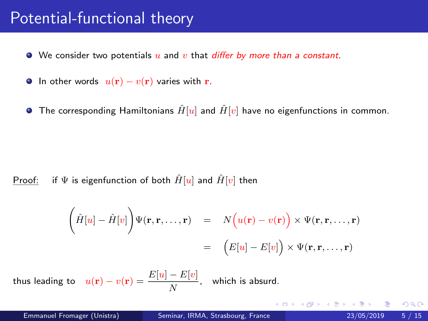#### <span id="page-4-0"></span>Potential-functional theory

- $\bullet$  We consider two potentials  $u$  and  $v$  that differ by more than a constant.
- **In other words**  $u(\mathbf{r}) v(\mathbf{r})$  varies with **r**.
- **•** The corresponding Hamiltonians  $\hat{H}[u]$  and  $\hat{H}[v]$  have no eigenfunctions in common.

#### Proof: if  $\Psi$  is eigenfunction of both  $\hat{H}[u]$  and  $\hat{H}[v]$  then

$$
\left(\hat{H}[u] - \hat{H}[v]\right) \Psi(\mathbf{r}, \mathbf{r}, \dots, \mathbf{r}) = N(u(\mathbf{r}) - v(\mathbf{r})) \times \Psi(\mathbf{r}, \mathbf{r}, \dots, \mathbf{r})
$$

$$
= (E[u] - E[v]) \times \Psi(\mathbf{r}, \mathbf{r}, \dots, \mathbf{r})
$$

thus leading to  $u({\bf r})-v({\bf r})=\frac{E[u]-E[v]}{N}$  $\frac{2\epsilon_1}{N}$ , which is absurd.

 $\Omega$ 

K ロ ▶ K 個 ▶ K 경 ▶ K 경 ▶ X 경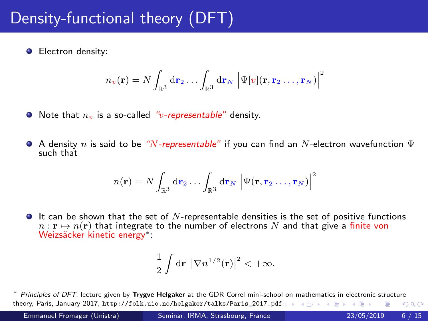# Density-functional theory (DFT)

**Electron density:** 

$$
n_v(\mathbf{r}) = N \int_{\mathbb{R}^3} \mathrm{d} \mathbf{r}_2 \ldots \int_{\mathbb{R}^3} \mathrm{d} \mathbf{r}_N \left| \Psi[v](\mathbf{r}, \mathbf{r}_2 \ldots, \mathbf{r}_N) \right|^2
$$

- $\bullet$  Note that  $n_v$  is a so-called "v-representable" density.
- A density n is said to be "N-representable" if you can find an N-electron wavefunction  $\Psi$ such that

$$
n(\mathbf{r}) = N \int_{\mathbb{R}^3} \mathrm{d} \mathbf{r}_2 \dots \int_{\mathbb{R}^3} \mathrm{d} \mathbf{r}_N \, \left| \Psi(\mathbf{r}, \mathbf{r}_2 \dots, \mathbf{r}_N) \right|^2
$$

 $\bullet$  It can be shown that the set of N-representable densities is the set of positive functions  $n : \mathbf{r} \mapsto n(\mathbf{r})$  that integrate to the number of electrons N and that give a finite von Weizsäcker kinetic energy\*∶

$$
\frac{1}{2}\int \mathrm{d}\mathbf{r} \, \left|\nabla n^{1/2}(\mathbf{r})\right|^2 < +\infty.
$$

∗ Principles of DFT, lecture given by Trygve Helgaker at the GDR Correl mini-school on mathematics in electronic structure theory, Paris, January 2017, [http://folk.uio.no/helgaker/talks/Paris\\_2017.p](http://folk.uio.no/helgaker/talks/Paris_2017.pdf)[d](#page-4-0)[f](http://folk.uio.no/helgaker/talks/Paris_2017.pdf)  $\Box \rightarrow \Box \rightarrow \Box \rightarrow \Box$  $QQQ$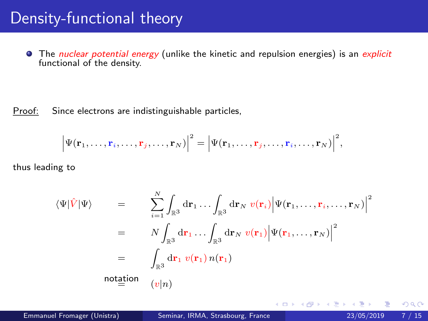#### Density-functional theory

**•** The *nuclear potential energy* (unlike the kinetic and repulsion energies) is an explicit functional of the density.

Proof: Since electrons are indistinguishable particles,

$$
\left|\Psi(\mathbf{r}_1,\ldots,\mathbf{r}_i,\ldots,\mathbf{r}_j,\ldots,\mathbf{r}_N)\right|^2=\left|\Psi(\mathbf{r}_1,\ldots,\mathbf{r}_j,\ldots,\mathbf{r}_i,\ldots,\mathbf{r}_N)\right|^2,
$$

thus leading to

$$
\langle \Psi | \hat{V} | \Psi \rangle = \sum_{i=1}^{N} \int_{\mathbb{R}^3} d\mathbf{r}_1 \dots \int_{\mathbb{R}^3} d\mathbf{r}_N \ v(\mathbf{r}_i) \Big| \Psi(\mathbf{r}_1, \dots, \mathbf{r}_i, \dots, \mathbf{r}_N) \Big|^2
$$
  
\n
$$
= N \int_{\mathbb{R}^3} d\mathbf{r}_1 \dots \int_{\mathbb{R}^3} d\mathbf{r}_N \ v(\mathbf{r}_1) \Big| \Psi(\mathbf{r}_1, \dots, \mathbf{r}_N) \Big|^2
$$
  
\n
$$
= \int_{\mathbb{R}^3} d\mathbf{r}_1 \ v(\mathbf{r}_1) \ n(\mathbf{r}_1)
$$
  
\nnotation  
\n
$$
(v|n)
$$

4 0 8

⊣⊢

 $\rightarrow$ 

 $QQ$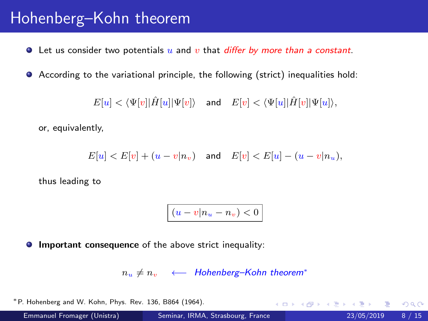## Hohenberg–Kohn theorem

 $\bullet$  Let us consider two potentials u and v that *differ by more than a constant*.

According to the variational principle, the following (strict) inequalities hold:

 $E[u] < \langle \Psi[v] | \hat{H}[u] | \Psi[v] \rangle$  and  $E[v] < \langle \Psi[u] | \hat{H}[v] | \Psi[u] \rangle$ ,

or, equivalently,

 $E[u] < E[v] + (u - v|n_v)$  and  $E[v] < E[u] - (u - v|n_u)$ ,

thus leading to

$$
(u-v|n_u-n_v)<0
$$

**Important consequence** of the above strict inequality:

 $n_u \neq n_v$  ← Hohenberg–Kohn theorem<sup>\*</sup>

∗P. Hohenberg and W. Kohn, Phys. Rev. 136, B864 (1964).

Emmanuel Fromager (Unistra) [Seminar, IRMA, Strasbourg, France](#page-0-0) 23/05/2019 8 / 15

**KOD KARD KED KED B YOUR**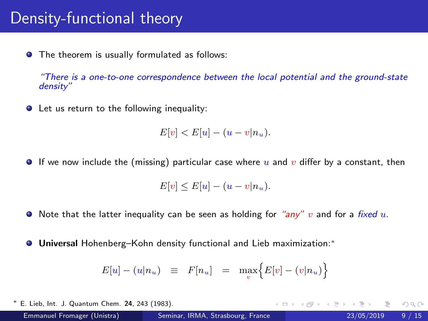#### <span id="page-8-0"></span>Density-functional theory

**•** The theorem is usually formulated as follows:

"There is a one-to-one correspondence between the local potential and the ground-state density"

**O** Let us return to the following inequality:

$$
E[v] < E[u] - (u - v|n_u).
$$

If we now include the (missing) particular case where u and v differ by a constant, then

$$
E[v] \leq E[u] - (u - v|n_u).
$$

- $\bullet$  Note that the latter inequality can be seen as holding for "any" v and for a fixed u.
- Universal Hohenberg–Kohn density functional and Lieb maximization:<sup>∗</sup>

$$
E[u] - (u|n_u) \equiv F[n_u] = \max_v \Big\{ E[v] - (v|n_u) \Big\}
$$

∗ E. Lieb, Int. J. Quantum Chem. 24, 243 (1983). **← ロ ▶ → イ 同**  $QQ$ Emmanuel Fromager (Unistra) [Seminar, IRMA, Strasbourg, France](#page-0-0) 23/05/2019 9 / 15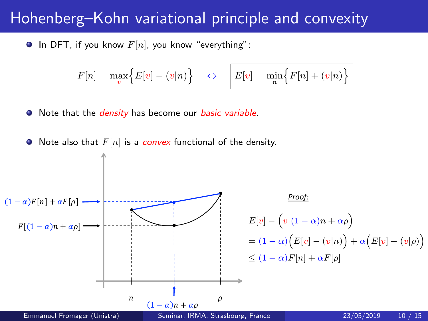# <span id="page-9-0"></span>Hohenberg–Kohn variational principle and convexity Hohenberg–Kohn variational principle and convexity

**In DFT**, if you know  $F[n]$ , you know "everything":

$$
F[n] = \max_{v} \Big\{ E[v] - (v|n) \Big\} \quad \Leftrightarrow \quad \boxed{E[v] = \min_{n} \Big\{ F[n] + (v|n) \Big\}}
$$

• Note that the *density* has become our *basic variable*.

Note also that  $F[n]$  is a convex functional of the density.

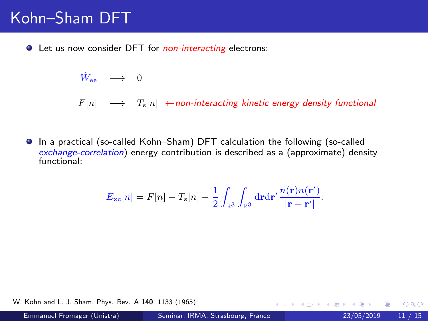# <span id="page-10-0"></span>Kohn–Sham DFT

**•** Let us now consider DFT for *non-interacting* electrons:

$$
\hat{W}_{\rm ee} \quad \longrightarrow \quad 0
$$

 $F[n] \longrightarrow T_{\rm s}[n] \leftarrow$ non-interacting kinetic energy density functional

In a practical (so-called Kohn–Sham) DFT calculation the following (so-called exchange-correlation) energy contribution is described as a (approximate) density functional:

$$
E_{\rm xc}[n] = F[n] - T_{\rm s}[n] - \frac{1}{2} \int_{\mathbb{R}^3} \int_{\mathbb{R}^3} d\mathbf{r} d\mathbf{r}' \frac{n(\mathbf{r})n(\mathbf{r}')}{|\mathbf{r} - \mathbf{r}'|}.
$$

W. Kohn and L. J. Sham, Phys. Rev. A 140, 1133 (1965).

 $\Omega$ 

K ロ ⊁ K 個 ≯ K 君 ⊁ K 君 ≯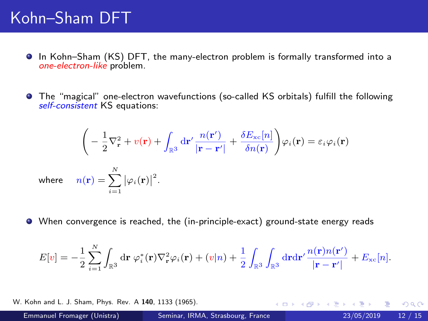# Kohn–Sham DFT

- In Kohn–Sham (KS) DFT, the many-electron problem is formally transformed into a one-electron-like problem.
- The "magical" one-electron wavefunctions (so-called KS orbitals) fulfill the following self-consistent KS equations:

$$
\left(-\frac{1}{2}\nabla_{\mathbf{r}}^{2} + v(\mathbf{r}) + \int_{\mathbb{R}^{3}} d\mathbf{r}' \frac{n(\mathbf{r}')}{|\mathbf{r} - \mathbf{r}'|} + \frac{\delta E_{\rm xc}[n]}{\delta n(\mathbf{r})}\right) \varphi_i(\mathbf{r}) = \varepsilon_i \varphi_i(\mathbf{r})
$$
\nwhere\n
$$
n(\mathbf{r}) = \sum_{i=1}^{N} |\varphi_i(\mathbf{r})|^2.
$$

When convergence is reached, the (in-principle-exact) ground-state energy reads

$$
E[v] = -\frac{1}{2}\sum_{i=1}^N \int_{\mathbb{R}^3} \mathrm{d}\mathbf{r} \,\,\varphi_i^*(\mathbf{r})\nabla_{\mathbf{r}}^2\varphi_i(\mathbf{r}) + (v|n) + \frac{1}{2}\int_{\mathbb{R}^3} \int_{\mathbb{R}^3} \mathrm{d}\mathbf{r} \mathrm{d}\mathbf{r}' \frac{n(\mathbf{r})n(\mathbf{r}')}{|\mathbf{r} - \mathbf{r}'|} + E_{\mathrm{xc}}[n].
$$

W. Kohn and L. J. Sham, Phys. Rev. A 140, 1133 (1965).

 $QQ$ 

イロト イ押 トイヨト イヨ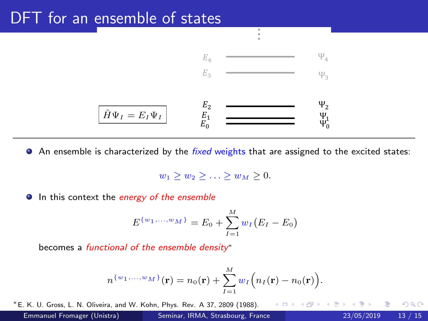## <span id="page-12-0"></span>DFT for an ensemble of states



...

... An ensemble is characterized by the *fixed* weights that are assigned to the excited states:<br>

 $w_1 > w_2 > \ldots > w_M > 0.$ 

**In this context the energy of the ensemble** 

$$
E^{\{w_1,\ldots,w_M\}} = E_0 + \sum_{I=1}^{M} w_I (E_I - E_0)
$$

becomes a functional of the ensemble density<sup>\*</sup>

$$
n^{\set{w_1,\ldots,w_M}}(\textbf{r})=n_0(\textbf{r})+\sum_{I=1}^M w_I\Big(n_I(\textbf{r})-n_0(\textbf{r})\Big).
$$

∗E. K. U. Gross, L. N. Oliveira, and W. Kohn, Phys. Rev. A 37, 2809 (1988).  $\Omega$ Emmanuel Fromager (Unistra) [Seminar, IRMA, Strasbourg, France](#page-0-0) 23/05/2019 13 / 15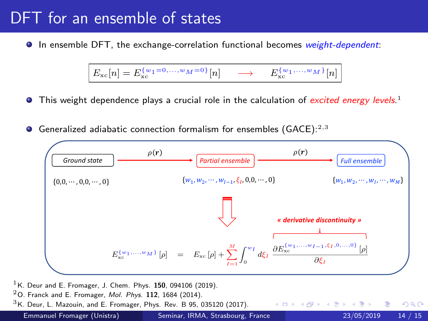### DFT for an ensemble of states

**In ensemble DFT, the exchange-correlation functional becomes weight-dependent:** 

$$
E_{\rm xc}[n] = E_{\rm xc}^{\{w_1 = 0, \ldots, w_M = 0\}}[n] \longrightarrow E_{\rm xc}^{\{w_1, \ldots, w_M\}}[n]
$$

- This weight dependence plays a crucial role in the calculation of *excited energy levels*.<sup>1</sup>
- Generalized adiabatic connection formalism for ensembles  $(GACE):^{2,3}$



- $1$ K. Deur and E. Fromager, J. Chem. Phys. 150, 094106 (2019).
- $^2$ O. Franck and E. Fromager, *Mol. Phys.* 112, 1684 (2014).
- $3$ K. Deur, L. Mazouin, and E. Fromager, Phys. Rev. B 95, 035120 (2017).

emmanuel Fromager (Unistra) Entretien, poste Propinson, Propinson, Propinson, Propinson, Propinson, Propinson, <br>Emmanuel Fromager (Unistra) Seminar, IRMA, Stras[bou](#page-12-0)rg, France 23/05/[2019](#page-0-0) 14 [/](#page-14-0) [15](#page-14-0)

∢ □ ▶ ⊣ *f*il

 $\Omega$